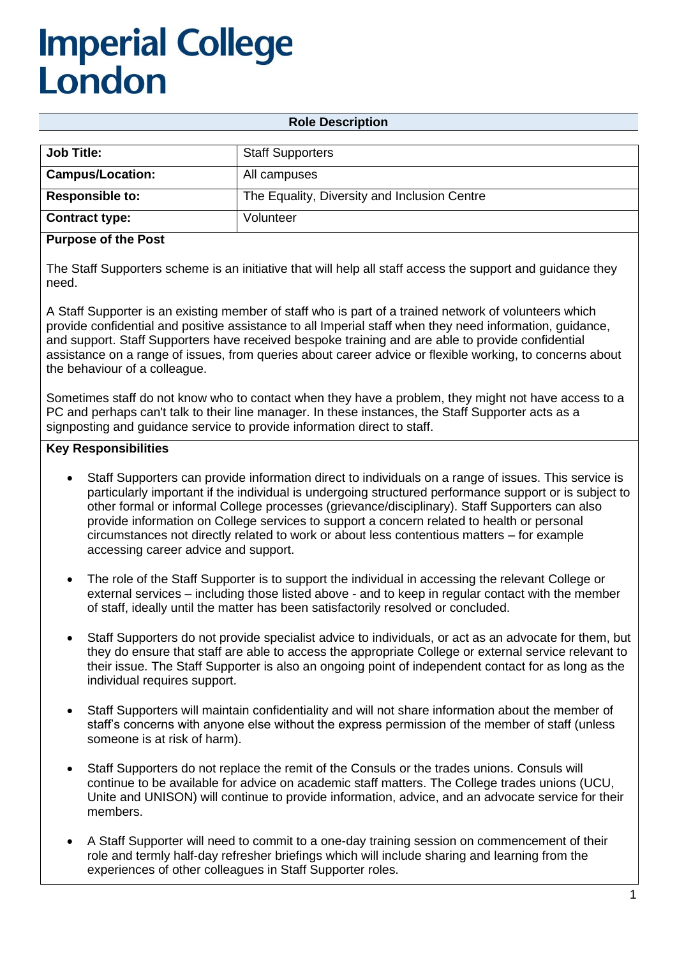## **Imperial College** London

**Role Description**

| <b>Job Title:</b>       | <b>Staff Supporters</b>                      |
|-------------------------|----------------------------------------------|
| <b>Campus/Location:</b> | All campuses                                 |
| <b>Responsible to:</b>  | The Equality, Diversity and Inclusion Centre |
| <b>Contract type:</b>   | Volunteer                                    |

#### **Purpose of the Post**

The Staff Supporters scheme is an initiative that will help all staff access the support and guidance they need.

A Staff Supporter is an existing member of staff who is part of a trained network of volunteers which provide confidential and positive assistance to all Imperial staff when they need information, guidance, and support. Staff Supporters have received bespoke training and are able to provide confidential assistance on a range of issues, from queries about career advice or flexible working, to concerns about the behaviour of a colleague.

Sometimes staff do not know who to contact when they have a problem, they might not have access to a PC and perhaps can't talk to their line manager. In these instances, the Staff Supporter acts as a signposting and guidance service to provide information direct to staff.

#### **Key Responsibilities**

- Staff Supporters can provide information direct to individuals on a range of issues. This service is particularly important if the individual is undergoing structured performance support or is subject to other formal or informal College processes (grievance/disciplinary). Staff Supporters can also provide information on College services to support a concern related to health or personal circumstances not directly related to work or about less contentious matters – for example accessing career advice and support.
- The role of the Staff Supporter is to support the individual in accessing the relevant College or external services – including those listed above - and to keep in regular contact with the member of staff, ideally until the matter has been satisfactorily resolved or concluded.
- Staff Supporters do not provide specialist advice to individuals, or act as an advocate for them, but they do ensure that staff are able to access the appropriate College or external service relevant to their issue. The Staff Supporter is also an ongoing point of independent contact for as long as the individual requires support.
- Staff Supporters will maintain confidentiality and will not share information about the member of staff's concerns with anyone else without the express permission of the member of staff (unless someone is at risk of harm).
- Staff Supporters do not replace the remit of the Consuls or the trades unions. Consuls will continue to be available for advice on academic staff matters. The College trades unions (UCU, Unite and UNISON) will continue to provide information, advice, and an advocate service for their members.
- A Staff Supporter will need to commit to a one-day training session on commencement of their role and termly half-day refresher briefings which will include sharing and learning from the experiences of other colleagues in Staff Supporter roles.